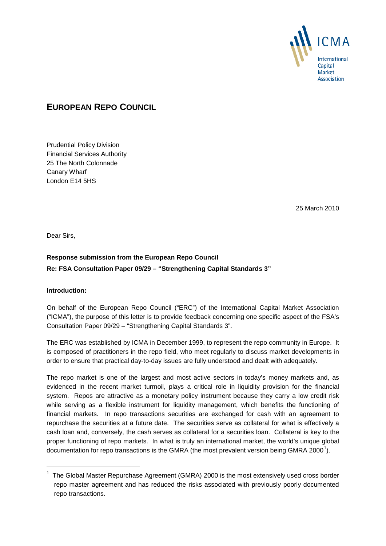

# **EUROPEAN REPO COUNCIL**

Prudential Policy Division Financial Services Authority 25 The North Colonnade Canary Wharf London E14 5HS

25 March 2010

Dear Sirs,

## **Response submission from the European Repo Council Re: FSA Consultation Paper 09/29 – "Strengthening Capital Standards 3"**

#### **Introduction:**

-

On behalf of the European Repo Council ("ERC") of the International Capital Market Association ("ICMA"), the purpose of this letter is to provide feedback concerning one specific aspect of the FSA's Consultation Paper 09/29 – "Strengthening Capital Standards 3".

The ERC was established by ICMA in December 1999, to represent the repo community in Europe. It is composed of practitioners in the repo field, who meet regularly to discuss market developments in order to ensure that practical day-to-day issues are fully understood and dealt with adequately.

The repo market is one of the largest and most active sectors in today's money markets and, as evidenced in the recent market turmoil, plays a critical role in liquidity provision for the financial system. Repos are attractive as a monetary policy instrument because they carry a low credit risk while serving as a flexible instrument for liquidity management, which benefits the functioning of financial markets. In repo transactions securities are exchanged for cash with an agreement to repurchase the securities at a future date. The securities serve as collateral for what is effectively a cash loan and, conversely, the cash serves as collateral for a securities loan. Collateral is key to the proper functioning of repo markets. In what is truly an international market, the world's unique global documentation for repo transactions is the GMRA (the most prevalent version being GMRA 2000<sup>[1](#page-0-0)</sup>).

<span id="page-0-0"></span><sup>1</sup> The Global Master Repurchase Agreement (GMRA) 2000 is the most extensively used cross border repo master agreement and has reduced the risks associated with previously poorly documented repo transactions.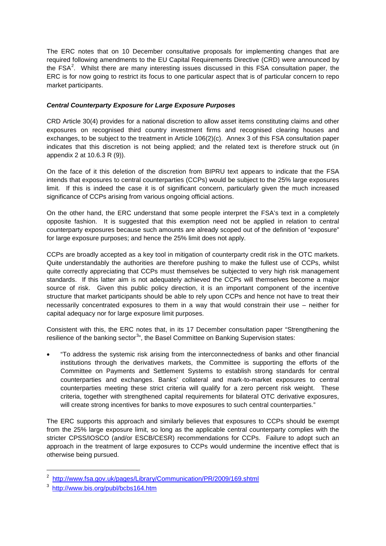The ERC notes that on 10 December consultative proposals for implementing changes that are required following amendments to the EU Capital Requirements Directive (CRD) were announced by the FSA<sup>[2](#page-1-0)</sup>. Whilst there are many interesting issues discussed in this FSA consultation paper, the ERC is for now going to restrict its focus to one particular aspect that is of particular concern to repo market participants.

### *Central Counterparty Exposure for Large Exposure Purposes*

CRD Article 30(4) provides for a national discretion to allow asset items constituting claims and other exposures on recognised third country investment firms and recognised clearing houses and exchanges, to be subject to the treatment in Article 106(2)(c). Annex 3 of this FSA consultation paper indicates that this discretion is not being applied; and the related text is therefore struck out (in appendix 2 at 10.6.3 R (9)).

On the face of it this deletion of the discretion from BIPRU text appears to indicate that the FSA intends that exposures to central counterparties (CCPs) would be subject to the 25% large exposures limit. If this is indeed the case it is of significant concern, particularly given the much increased significance of CCPs arising from various ongoing official actions.

On the other hand, the ERC understand that some people interpret the FSA's text in a completely opposite fashion. It is suggested that this exemption need not be applied in relation to central counterparty exposures because such amounts are already scoped out of the definition of "exposure" for large exposure purposes; and hence the 25% limit does not apply.

CCPs are broadly accepted as a key tool in mitigation of counterparty credit risk in the OTC markets. Quite understandably the authorities are therefore pushing to make the fullest use of CCPs, whilst quite correctly appreciating that CCPs must themselves be subjected to very high risk management standards. If this latter aim is not adequately achieved the CCPs will themselves become a major source of risk. Given this public policy direction, it is an important component of the incentive structure that market participants should be able to rely upon CCPs and hence not have to treat their necessarily concentrated exposures to them in a way that would constrain their use – neither for capital adequacy nor for large exposure limit purposes.

Consistent with this, the ERC notes that, in its 17 December consultation paper "Strengthening the resilience of the banking sector<sup>[3](#page-1-1)</sup>", the Basel Committee on Banking Supervision states:

• "To address the systemic risk arising from the interconnectedness of banks and other financial institutions through the derivatives markets, the Committee is supporting the efforts of the Committee on Payments and Settlement Systems to establish strong standards for central counterparties and exchanges. Banks' collateral and mark-to-market exposures to central counterparties meeting these strict criteria will qualify for a zero percent risk weight. These criteria, together with strengthened capital requirements for bilateral OTC derivative exposures, will create strong incentives for banks to move exposures to such central counterparties."

The ERC supports this approach and similarly believes that exposures to CCPs should be exempt from the 25% large exposure limit, so long as the applicable central counterparty complies with the stricter CPSS/IOSCO (and/or ESCB/CESR) recommendations for CCPs. Failure to adopt such an approach in the treatment of large exposures to CCPs would undermine the incentive effect that is otherwise being pursued.

-

<span id="page-1-0"></span><sup>&</sup>lt;sup>2</sup><http://www.fsa.gov.uk/pages/Library/Communication/PR/2009/169.shtml>

<span id="page-1-1"></span><sup>&</sup>lt;sup>3</sup> <http://www.bis.org/publ/bcbs164.htm>